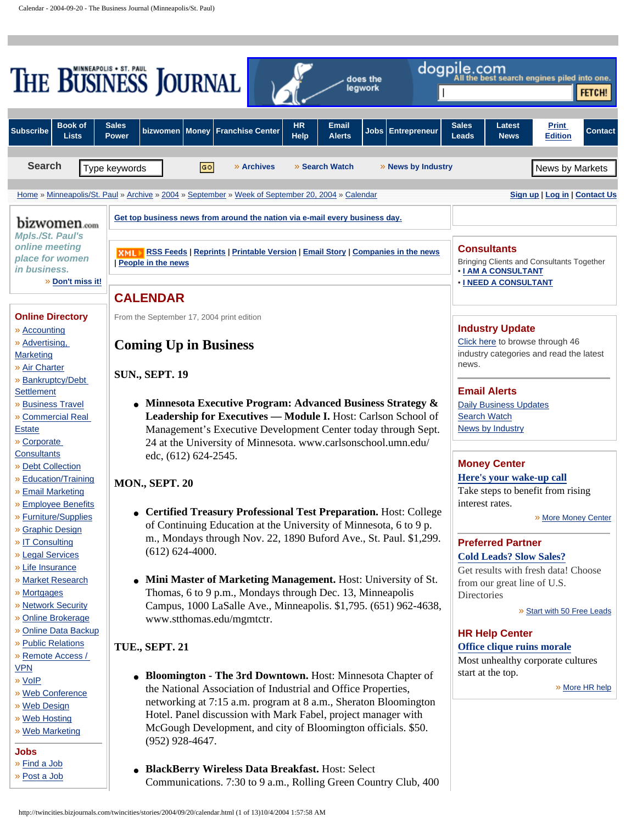<span id="page-0-0"></span>

| dogpile.com<br>THE BUSINESS JOURNAL<br>e best search engines piled into one.<br>does the<br>legwork<br>FETCH!                                                                                                                                                                                                                     |                                                                                                                                                                                                                                                                                                                                                         |                                                                                                                 |
|-----------------------------------------------------------------------------------------------------------------------------------------------------------------------------------------------------------------------------------------------------------------------------------------------------------------------------------|---------------------------------------------------------------------------------------------------------------------------------------------------------------------------------------------------------------------------------------------------------------------------------------------------------------------------------------------------------|-----------------------------------------------------------------------------------------------------------------|
| <b>Book of</b><br><b>Subscribe</b><br><b>Lists</b>                                                                                                                                                                                                                                                                                | <b>Sales</b><br><b>HR</b><br>Email<br><b>Money</b><br><b>Franchise Center</b><br><b>Jobs</b><br><b>Entrepreneur</b><br>bizwomen<br><b>Help</b><br><b>Power</b><br><b>Alerts</b>                                                                                                                                                                         | <b>Sales</b><br>Latest<br><b>Print</b><br><b>Contact</b><br>Leads<br><b>News</b><br><b>Edition</b>              |
| <b>Search</b>                                                                                                                                                                                                                                                                                                                     | » Archives<br>» Search Watch<br>» News by Industry<br>GO<br>Type keywords                                                                                                                                                                                                                                                                               | News by Markets                                                                                                 |
|                                                                                                                                                                                                                                                                                                                                   | Home » Minneapolis/St. Paul » Archive » 2004 » September » Week of September 20, 2004 » Calendar                                                                                                                                                                                                                                                        | Sign up   Log in   Contact Us                                                                                   |
| bizwomen.com<br><b>Mpls./St. Paul's</b>                                                                                                                                                                                                                                                                                           | Get top business news from around the nation via e-mail every business day.                                                                                                                                                                                                                                                                             |                                                                                                                 |
| online meeting<br>place for women<br>in business.                                                                                                                                                                                                                                                                                 | <b>XML RSS Feeds   Reprints   Printable Version   Email Story   Companies in the news</b><br>People in the news                                                                                                                                                                                                                                         | <b>Consultants</b><br>Bringing Clients and Consultants Together<br><b>• I AM A CONSULTANT</b>                   |
| » Don't miss it!                                                                                                                                                                                                                                                                                                                  | <b>CALENDAR</b>                                                                                                                                                                                                                                                                                                                                         | <b>• I NEED A CONSULTANT</b>                                                                                    |
| <b>Online Directory</b><br>» Accounting<br>» Advertising,<br><b>Marketing</b><br>» Air Charter<br>» Bankruptcy/Debt<br>Settlement<br><b>» Business Travel</b><br>» Commercial Real<br><b>Estate</b><br>» Corporate<br><b>Consultants</b><br>» Debt Collection<br>» Education/Training<br>» Email Marketing<br>» Employee Benefits | From the September 17, 2004 print edition<br><b>Coming Up in Business</b><br><b>SUN., SEPT. 19</b>                                                                                                                                                                                                                                                      | <b>Industry Update</b><br>Click here to browse through 46<br>industry categories and read the latest<br>news.   |
|                                                                                                                                                                                                                                                                                                                                   | Minnesota Executive Program: Advanced Business Strategy &<br>Leadership for Executives - Module I. Host: Carlson School of<br>Management's Executive Development Center today through Sept.<br>24 at the University of Minnesota. www.carlsonschool.umn.edu/                                                                                            | <b>Email Alerts</b><br><b>Daily Business Updates</b><br><b>Search Watch</b><br><b>News by Industry</b>          |
|                                                                                                                                                                                                                                                                                                                                   | edc, (612) 624-2545.<br><b>MON., SEPT. 20</b>                                                                                                                                                                                                                                                                                                           | <b>Money Center</b><br>Here's your wake-up call<br>Take steps to benefit from rising<br>interest rates.         |
| » Furniture/Supplies<br>» Graphic Design<br>» IT Consulting<br>» Legal Services                                                                                                                                                                                                                                                   | • Certified Treasury Professional Test Preparation. Host: College<br>of Continuing Education at the University of Minnesota, 6 to 9 p.<br>m., Mondays through Nov. 22, 1890 Buford Ave., St. Paul. \$1,299.<br>$(612) 624 - 4000.$                                                                                                                      | » More Money Center<br><b>Preferred Partner</b><br><b>Cold Leads? Slow Sales?</b>                               |
| » Life Insurance<br><b>» Market Research</b><br>» Mortgages<br>» Network Security                                                                                                                                                                                                                                                 | • Mini Master of Marketing Management. Host: University of St.<br>Thomas, 6 to 9 p.m., Mondays through Dec. 13, Minneapolis<br>Campus, 1000 LaSalle Ave., Minneapolis. \$1,795. (651) 962-4638,                                                                                                                                                         | Get results with fresh data! Choose<br>from our great line of U.S.<br>Directories<br>» Start with 50 Free Leads |
| » Online Brokerage<br>» Online Data Backup<br>» Public Relations<br>» Remote Access /                                                                                                                                                                                                                                             | www.stthomas.edu/mgmtctr.<br><b>TUE., SEPT. 21</b>                                                                                                                                                                                                                                                                                                      | <b>HR Help Center</b><br>Office clique ruins morale<br>Most unhealthy corporate cultures                        |
| <b>VPN</b><br>» VoIP<br>» Web Conference<br><b>»</b> Web Design<br>» Web Hosting<br>» Web Marketing<br><b>Jobs</b>                                                                                                                                                                                                                | • Bloomington - The 3rd Downtown. Host: Minnesota Chapter of<br>the National Association of Industrial and Office Properties,<br>networking at 7:15 a.m. program at 8 a.m., Sheraton Bloomington<br>Hotel. Panel discussion with Mark Fabel, project manager with<br>McGough Development, and city of Bloomington officials. \$50.<br>$(952)$ 928-4647. | start at the top.<br>» More HR help                                                                             |
| » Find a Job<br>» Post a Job                                                                                                                                                                                                                                                                                                      | • BlackBerry Wireless Data Breakfast. Host: Select<br>Communications. 7:30 to 9 a.m., Rolling Green Country Club, 400                                                                                                                                                                                                                                   |                                                                                                                 |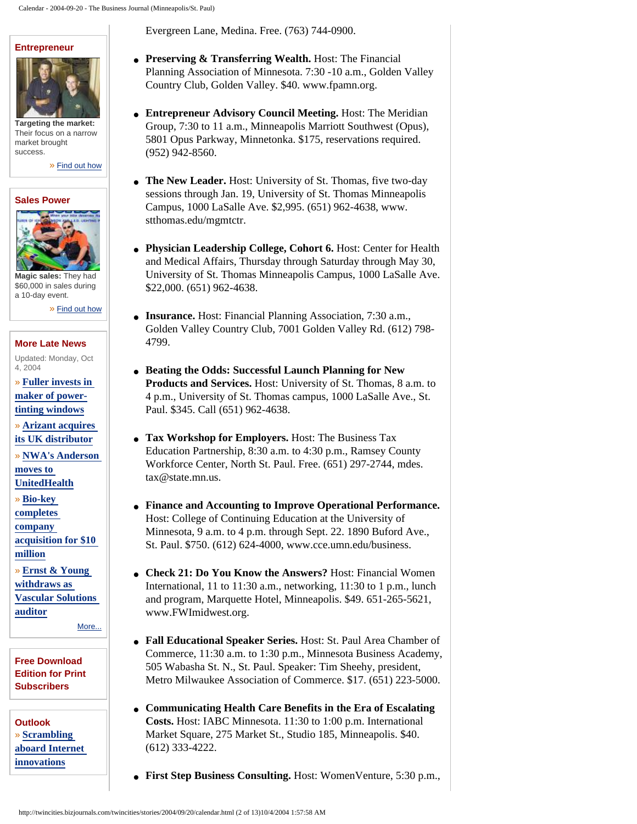#### **[Entrepreneur](http://twincities.bizjournals.com/twincities/entrepreneur/?jst=s_ep_lk)**



**Targeting the market:** Their focus on a narrow market brought success.

» [Find out how](http://twincities.bizjournals.com/twincities/entrepreneur/?jst=s_ep_lk)

#### **[Sales Power](http://twincities.bizjournals.com/twincities/salespower/?jst=s_ep_lk)**



**Magic sales:** They had \$60,000 in sales during a 10-day event.

» [Find out how](http://twincities.bizjournals.com/twincities/salespower/?jst=s_ep_lk)

#### **[More Late News](http://twincities.bizjournals.com/twincities/stories/2004/10/04/daily.html?jst=m_ln_hl)**

Updated: Monday, Oct 4, 2004

- » **[Fuller invests in](http://twincities.bizjournals.com/twincities/stories/2004/09/27/daily49.html?jst=m_ln_hl) [maker of power](http://twincities.bizjournals.com/twincities/stories/2004/09/27/daily49.html?jst=m_ln_hl)[tinting windows](http://twincities.bizjournals.com/twincities/stories/2004/09/27/daily49.html?jst=m_ln_hl)**
- » **[Arizant acquires](http://twincities.bizjournals.com/twincities/stories/2004/09/27/daily51.html?jst=m_ln_hl) [its UK distributor](http://twincities.bizjournals.com/twincities/stories/2004/09/27/daily51.html?jst=m_ln_hl)**
- » **[NWA's Anderson](http://twincities.bizjournals.com/twincities/stories/2004/09/27/daily43.html?jst=m_ln_hl)**

**[moves to](http://twincities.bizjournals.com/twincities/stories/2004/09/27/daily43.html?jst=m_ln_hl)  [UnitedHealth](http://twincities.bizjournals.com/twincities/stories/2004/09/27/daily43.html?jst=m_ln_hl)**

- » **[Bio-key](http://twincities.bizjournals.com/twincities/stories/2004/09/27/daily50.html?jst=m_ln_hl)**
- **[completes](http://twincities.bizjournals.com/twincities/stories/2004/09/27/daily50.html?jst=m_ln_hl)**
- **[company](http://twincities.bizjournals.com/twincities/stories/2004/09/27/daily50.html?jst=m_ln_hl) [acquisition for \\$10](http://twincities.bizjournals.com/twincities/stories/2004/09/27/daily50.html?jst=m_ln_hl)**

**[million](http://twincities.bizjournals.com/twincities/stories/2004/09/27/daily50.html?jst=m_ln_hl)**

» **[Ernst & Young](http://twincities.bizjournals.com/twincities/stories/2004/09/27/daily45.html?jst=m_ln_hl)  [withdraws as](http://twincities.bizjournals.com/twincities/stories/2004/09/27/daily45.html?jst=m_ln_hl) [Vascular Solutions](http://twincities.bizjournals.com/twincities/stories/2004/09/27/daily45.html?jst=m_ln_hl)  [auditor](http://twincities.bizjournals.com/twincities/stories/2004/09/27/daily45.html?jst=m_ln_hl)**

[More...](http://twincities.bizjournals.com/twincities/stories/2004/10/04/daily.html?jst=m_ln_hl)

#### **[Free Download](http://twincities.bizjournals.com/subscriber_services/electronic_edition/?t=twincities) [Edition for Print](http://twincities.bizjournals.com/subscriber_services/electronic_edition/?t=twincities)  [Subscribers](http://twincities.bizjournals.com/subscriber_services/electronic_edition/?t=twincities)**

**Outlook** » **[Scrambling](http://twincities.bizjournals.com/bizoutlook/?jst=m_ol_hl) [aboard Internet](http://twincities.bizjournals.com/bizoutlook/?jst=m_ol_hl)  [innovations](http://twincities.bizjournals.com/bizoutlook/?jst=m_ol_hl)**

Evergreen Lane, Medina. Free. (763) 744-0900.

- **Preserving & Transferring Wealth.** Host: The Financial Planning Association of Minnesota. 7:30 -10 a.m., Golden Valley Country Club, Golden Valley. \$40. www.fpamn.org.
- **Entrepreneur Advisory Council Meeting.** Host: The Meridian Group, 7:30 to 11 a.m., Minneapolis Marriott Southwest (Opus), 5801 Opus Parkway, Minnetonka. \$175, reservations required. (952) 942-8560.
- **The New Leader.** Host: University of St. Thomas, five two-day sessions through Jan. 19, University of St. Thomas Minneapolis Campus, 1000 LaSalle Ave. \$2,995. (651) 962-4638, www. stthomas.edu/mgmtctr.
- **Physician Leadership College, Cohort 6.** Host: Center for Health and Medical Affairs, Thursday through Saturday through May 30, University of St. Thomas Minneapolis Campus, 1000 LaSalle Ave. \$22,000. (651) 962-4638.
- **Insurance.** Host: Financial Planning Association, 7:30 a.m., Golden Valley Country Club, 7001 Golden Valley Rd. (612) 798- 4799.
- **Beating the Odds: Successful Launch Planning for New Products and Services.** Host: University of St. Thomas, 8 a.m. to 4 p.m., University of St. Thomas campus, 1000 LaSalle Ave., St. Paul. \$345. Call (651) 962-4638.
- **Tax Workshop for Employers.** Host: The Business Tax Education Partnership, 8:30 a.m. to 4:30 p.m., Ramsey County Workforce Center, North St. Paul. Free. (651) 297-2744, mdes. tax@state.mn.us.
- **Finance and Accounting to Improve Operational Performance.** Host: College of Continuing Education at the University of Minnesota, 9 a.m. to 4 p.m. through Sept. 22. 1890 Buford Ave., St. Paul. \$750. (612) 624-4000, www.cce.umn.edu/business.
- **Check 21: Do You Know the Answers?** Host: Financial Women International, 11 to 11:30 a.m., networking, 11:30 to 1 p.m., lunch and program, Marquette Hotel, Minneapolis. \$49. 651-265-5621, www.FWImidwest.org.
- **Fall Educational Speaker Series.** Host: St. Paul Area Chamber of Commerce, 11:30 a.m. to 1:30 p.m., Minnesota Business Academy, 505 Wabasha St. N., St. Paul. Speaker: Tim Sheehy, president, Metro Milwaukee Association of Commerce. \$17. (651) 223-5000.
- **Communicating Health Care Benefits in the Era of Escalating Costs.** Host: IABC Minnesota. 11:30 to 1:00 p.m. International Market Square, 275 Market St., Studio 185, Minneapolis. \$40. (612) 333-4222.
- **First Step Business Consulting.** Host: WomenVenture, 5:30 p.m.,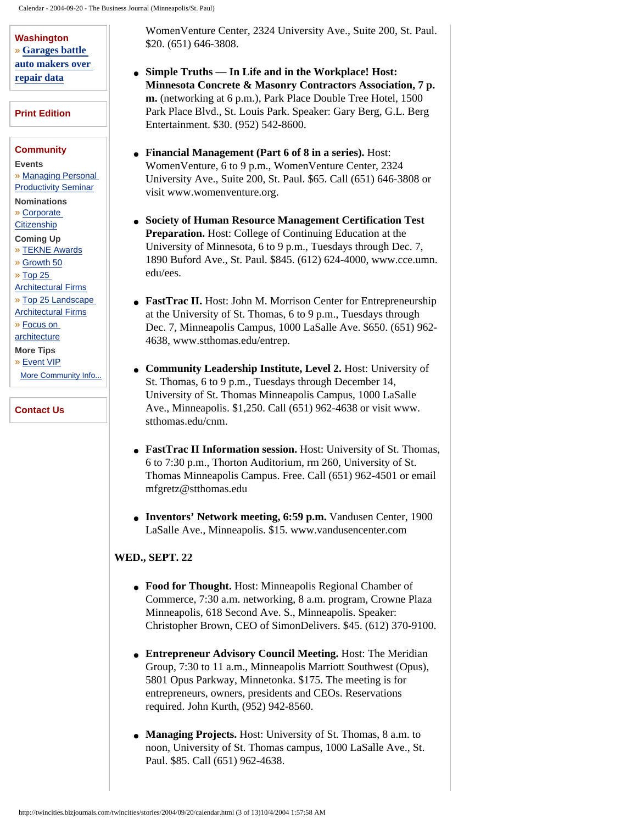**Washington** » **[Garages battle](http://twincities.bizjournals.com/extraedge/washingtonbureau/archive/2004/10/04/bureau1.html?jst=m_wa_hl)  [auto makers over](http://twincities.bizjournals.com/extraedge/washingtonbureau/archive/2004/10/04/bureau1.html?jst=m_wa_hl) [repair data](http://twincities.bizjournals.com/extraedge/washingtonbureau/archive/2004/10/04/bureau1.html?jst=m_wa_hl)**

#### **[Print Edition](http://twincities.bizjournals.com/twincities/stories/2004/10/04/?jst=m_pe_lk)**

#### **[Community](http://twincities.bizjournals.com/twincities/networking/)**

**Events**

» [Managing Personal](http://twincities.bizjournals.com/twincities/event/931)  **[Productivity Seminar](http://twincities.bizjournals.com/twincities/event/931)** 

**Nominations**

» [Corporate](http://twincities.bizjournals.com/twincities/nomination/190)

**[Citizenship](http://twincities.bizjournals.com/twincities/nomination/190)** 

**Coming Up** » [TEKNE Awards](http://twincities.bizjournals.com/twincities/networking/coming_up.html)

» [Growth 50](http://twincities.bizjournals.com/twincities/networking/coming_up.html)

» [Top 25](http://twincities.bizjournals.com/twincities/networking/coming_up.html)

[Architectural Firms](http://twincities.bizjournals.com/twincities/networking/coming_up.html) » [Top 25 Landscape](http://twincities.bizjournals.com/twincities/networking/coming_up.html)

[Architectural Firms](http://twincities.bizjournals.com/twincities/networking/coming_up.html) » [Focus on](http://twincities.bizjournals.com/twincities/networking/coming_up.html) 

**[architecture](http://twincities.bizjournals.com/twincities/networking/coming_up.html)** 

**More Tips**

## » [Event VIP](http://twincities.bizjournals.com/twincities/networking/more_tips.html)

[More Community Info...](http://twincities.bizjournals.com/twincities/networking/)

#### **[Contact Us](http://twincities.bizjournals.com/twincities/services/?jst=m_bjs_lk)**

WomenVenture Center, 2324 University Ave., Suite 200, St. Paul. \$20. (651) 646-3808.

- **Simple Truths In Life and in the Workplace! Host: Minnesota Concrete & Masonry Contractors Association, 7 p. m.** (networking at 6 p.m.), Park Place Double Tree Hotel, 1500 Park Place Blvd., St. Louis Park. Speaker: Gary Berg, G.L. Berg Entertainment. \$30. (952) 542-8600.
- **Financial Management (Part 6 of 8 in a series).** Host: WomenVenture, 6 to 9 p.m., WomenVenture Center, 2324 University Ave., Suite 200, St. Paul. \$65. Call (651) 646-3808 or visit www.womenventure.org.
- **Society of Human Resource Management Certification Test Preparation.** Host: College of Continuing Education at the University of Minnesota, 6 to 9 p.m., Tuesdays through Dec. 7, 1890 Buford Ave., St. Paul. \$845. (612) 624-4000, www.cce.umn. edu/ees.
- FastTrac II. Host: John M. Morrison Center for Entrepreneurship at the University of St. Thomas, 6 to 9 p.m., Tuesdays through Dec. 7, Minneapolis Campus, 1000 LaSalle Ave. \$650. (651) 962- 4638, www.stthomas.edu/entrep.
- **Community Leadership Institute, Level 2.** Host: University of St. Thomas, 6 to 9 p.m., Tuesdays through December 14, University of St. Thomas Minneapolis Campus, 1000 LaSalle Ave., Minneapolis. \$1,250. Call (651) 962-4638 or visit www. stthomas.edu/cnm.
- **FastTrac II Information session.** Host: University of St. Thomas, 6 to 7:30 p.m., Thorton Auditorium, rm 260, University of St. Thomas Minneapolis Campus. Free. Call (651) 962-4501 or email mfgretz@stthomas.edu
- **Inventors' Network meeting, 6:59 p.m.** Vandusen Center, 1900 LaSalle Ave., Minneapolis. \$15. www.vandusencenter.com

## **WED., SEPT. 22**

- Food for Thought. Host: Minneapolis Regional Chamber of Commerce, 7:30 a.m. networking, 8 a.m. program, Crowne Plaza Minneapolis, 618 Second Ave. S., Minneapolis. Speaker: Christopher Brown, CEO of SimonDelivers. \$45. (612) 370-9100.
- **Entrepreneur Advisory Council Meeting.** Host: The Meridian Group, 7:30 to 11 a.m., Minneapolis Marriott Southwest (Opus), 5801 Opus Parkway, Minnetonka. \$175. The meeting is for entrepreneurs, owners, presidents and CEOs. Reservations required. John Kurth, (952) 942-8560.
- **Managing Projects.** Host: University of St. Thomas, 8 a.m. to noon, University of St. Thomas campus, 1000 LaSalle Ave., St. Paul. \$85. Call (651) 962-4638.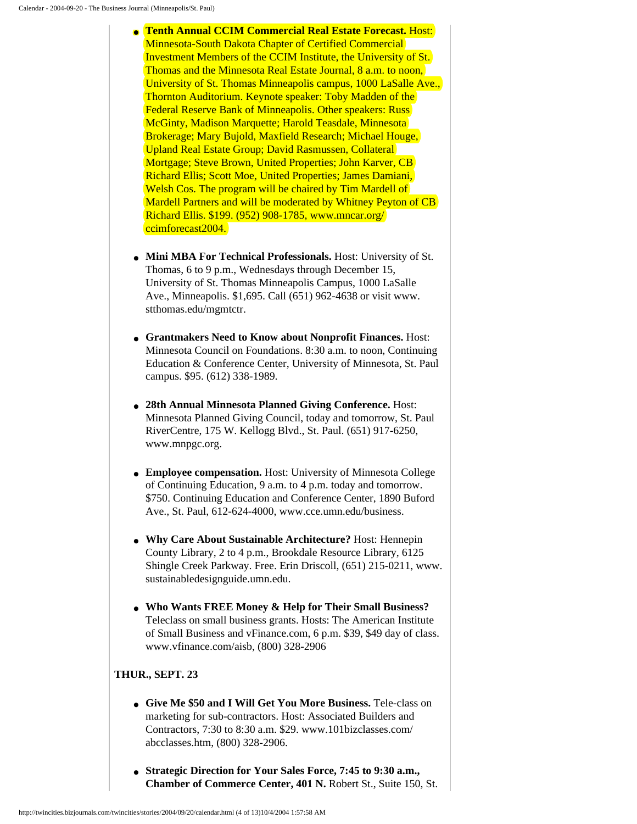- **Tenth Annual CCIM Commercial Real Estate Forecast.** Host: Minnesota-South Dakota Chapter of Certified Commercial Investment Members of the CCIM Institute, the University of St. Thomas and the Minnesota Real Estate Journal, 8 a.m. to noon, University of St. Thomas Minneapolis campus, 1000 LaSalle Ave., Thornton Auditorium. Keynote speaker: Toby Madden of the Federal Reserve Bank of Minneapolis. Other speakers: Russ McGinty, Madison Marquette; Harold Teasdale, Minnesota Brokerage; Mary Bujold, Maxfield Research; Michael Houge, Upland Real Estate Group; David Rasmussen, Collateral Mortgage; Steve Brown, United Properties; John Karver, CB Richard Ellis; Scott Moe, United Properties; James Damiani, Welsh Cos. The program will be chaired by Tim Mardell of Mardell Partners and will be moderated by Whitney Peyton of CB Richard Ellis. \$199. (952) 908-1785, www.mncar.org/ ccimforecast2004.
- **Mini MBA For Technical Professionals.** Host: University of St. Thomas, 6 to 9 p.m., Wednesdays through December 15, University of St. Thomas Minneapolis Campus, 1000 LaSalle Ave., Minneapolis. \$1,695. Call (651) 962-4638 or visit www. stthomas.edu/mgmtctr.
- **Grantmakers Need to Know about Nonprofit Finances.** Host: Minnesota Council on Foundations. 8:30 a.m. to noon, Continuing Education & Conference Center, University of Minnesota, St. Paul campus. \$95. (612) 338-1989.
- **28th Annual Minnesota Planned Giving Conference.** Host: Minnesota Planned Giving Council, today and tomorrow, St. Paul RiverCentre, 175 W. Kellogg Blvd., St. Paul. (651) 917-6250, www.mnpgc.org.
- **Employee compensation.** Host: University of Minnesota College of Continuing Education, 9 a.m. to 4 p.m. today and tomorrow. \$750. Continuing Education and Conference Center, 1890 Buford Ave., St. Paul, 612-624-4000, www.cce.umn.edu/business.
- **Why Care About Sustainable Architecture?** Host: Hennepin County Library, 2 to 4 p.m., Brookdale Resource Library, 6125 Shingle Creek Parkway. Free. Erin Driscoll, (651) 215-0211, www. sustainabledesignguide.umn.edu.
- **Who Wants FREE Money & Help for Their Small Business?** Teleclass on small business grants. Hosts: The American Institute of Small Business and vFinance.com, 6 p.m. \$39, \$49 day of class. www.vfinance.com/aisb, (800) 328-2906

#### **THUR., SEPT. 23**

- **Give Me \$50 and I Will Get You More Business.** Tele-class on marketing for sub-contractors. Host: Associated Builders and Contractors, 7:30 to 8:30 a.m. \$29. www.101bizclasses.com/ abcclasses.htm, (800) 328-2906.
- **Strategic Direction for Your Sales Force, 7:45 to 9:30 a.m., Chamber of Commerce Center, 401 N.** Robert St., Suite 150, St.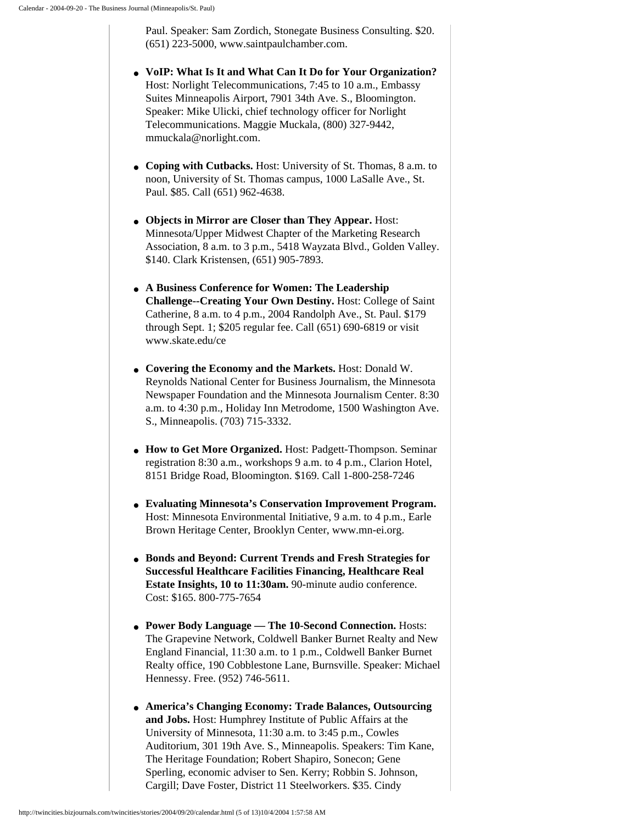Paul. Speaker: Sam Zordich, Stonegate Business Consulting. \$20. (651) 223-5000, www.saintpaulchamber.com.

- **VoIP: What Is It and What Can It Do for Your Organization?** Host: Norlight Telecommunications, 7:45 to 10 a.m., Embassy Suites Minneapolis Airport, 7901 34th Ave. S., Bloomington. Speaker: Mike Ulicki, chief technology officer for Norlight Telecommunications. Maggie Muckala, (800) 327-9442, mmuckala@norlight.com.
- **Coping with Cutbacks.** Host: University of St. Thomas, 8 a.m. to noon, University of St. Thomas campus, 1000 LaSalle Ave., St. Paul. \$85. Call (651) 962-4638.
- **Objects in Mirror are Closer than They Appear.** Host: Minnesota/Upper Midwest Chapter of the Marketing Research Association, 8 a.m. to 3 p.m., 5418 Wayzata Blvd., Golden Valley. \$140. Clark Kristensen, (651) 905-7893.
- **A Business Conference for Women: The Leadership Challenge--Creating Your Own Destiny.** Host: College of Saint Catherine, 8 a.m. to 4 p.m., 2004 Randolph Ave., St. Paul. \$179 through Sept. 1; \$205 regular fee. Call (651) 690-6819 or visit www.skate.edu/ce
- **Covering the Economy and the Markets.** Host: Donald W. Reynolds National Center for Business Journalism, the Minnesota Newspaper Foundation and the Minnesota Journalism Center. 8:30 a.m. to 4:30 p.m., Holiday Inn Metrodome, 1500 Washington Ave. S., Minneapolis. (703) 715-3332.
- **How to Get More Organized.** Host: Padgett-Thompson. Seminar registration 8:30 a.m., workshops 9 a.m. to 4 p.m., Clarion Hotel, 8151 Bridge Road, Bloomington. \$169. Call 1-800-258-7246
- **Evaluating Minnesota's Conservation Improvement Program.** Host: Minnesota Environmental Initiative, 9 a.m. to 4 p.m., Earle Brown Heritage Center, Brooklyn Center, www.mn-ei.org.
- **Bonds and Beyond: Current Trends and Fresh Strategies for Successful Healthcare Facilities Financing, Healthcare Real Estate Insights, 10 to 11:30am.** 90-minute audio conference. Cost: \$165. 800-775-7654
- **Power Body Language The 10-Second Connection.** Hosts: The Grapevine Network, Coldwell Banker Burnet Realty and New England Financial, 11:30 a.m. to 1 p.m., Coldwell Banker Burnet Realty office, 190 Cobblestone Lane, Burnsville. Speaker: Michael Hennessy. Free. (952) 746-5611.
- **America's Changing Economy: Trade Balances, Outsourcing and Jobs.** Host: Humphrey Institute of Public Affairs at the University of Minnesota, 11:30 a.m. to 3:45 p.m., Cowles Auditorium, 301 19th Ave. S., Minneapolis. Speakers: Tim Kane, The Heritage Foundation; Robert Shapiro, Sonecon; Gene Sperling, economic adviser to Sen. Kerry; Robbin S. Johnson, Cargill; Dave Foster, District 11 Steelworkers. \$35. Cindy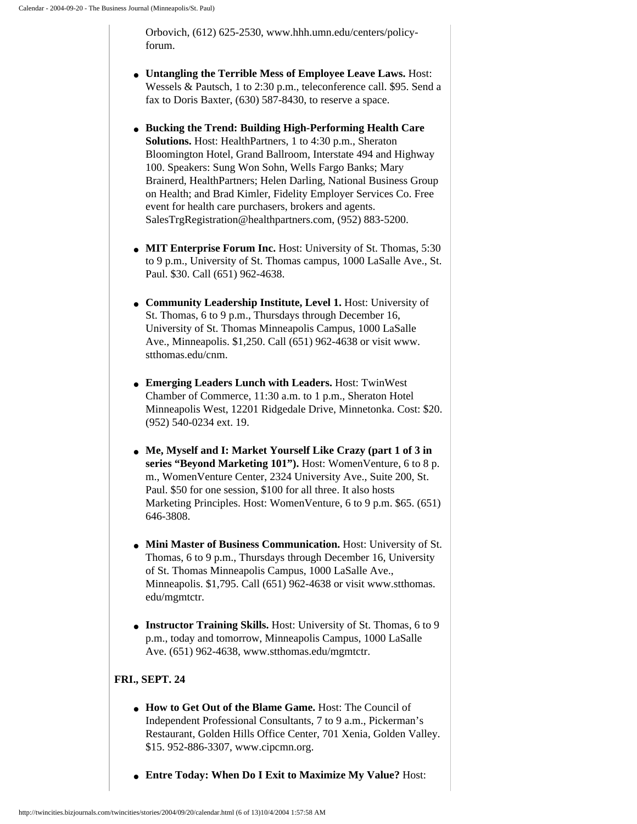Orbovich, (612) 625-2530, www.hhh.umn.edu/centers/policyforum.

- **Untangling the Terrible Mess of Employee Leave Laws.** Host: Wessels & Pautsch, 1 to 2:30 p.m., teleconference call. \$95. Send a fax to Doris Baxter, (630) 587-8430, to reserve a space.
- **Bucking the Trend: Building High-Performing Health Care Solutions.** Host: HealthPartners, 1 to 4:30 p.m., Sheraton Bloomington Hotel, Grand Ballroom, Interstate 494 and Highway 100. Speakers: Sung Won Sohn, Wells Fargo Banks; Mary Brainerd, HealthPartners; Helen Darling, National Business Group on Health; and Brad Kimler, Fidelity Employer Services Co. Free event for health care purchasers, brokers and agents. SalesTrgRegistration@healthpartners.com, (952) 883-5200.
- **MIT Enterprise Forum Inc.** Host: University of St. Thomas, 5:30 to 9 p.m., University of St. Thomas campus, 1000 LaSalle Ave., St. Paul. \$30. Call (651) 962-4638.
- **Community Leadership Institute, Level 1.** Host: University of St. Thomas, 6 to 9 p.m., Thursdays through December 16, University of St. Thomas Minneapolis Campus, 1000 LaSalle Ave., Minneapolis. \$1,250. Call (651) 962-4638 or visit www. stthomas.edu/cnm.
- **Emerging Leaders Lunch with Leaders.** Host: TwinWest Chamber of Commerce, 11:30 a.m. to 1 p.m., Sheraton Hotel Minneapolis West, 12201 Ridgedale Drive, Minnetonka. Cost: \$20. (952) 540-0234 ext. 19.
- **Me, Myself and I: Market Yourself Like Crazy (part 1 of 3 in series "Beyond Marketing 101").** Host: WomenVenture, 6 to 8 p. m., WomenVenture Center, 2324 University Ave., Suite 200, St. Paul. \$50 for one session, \$100 for all three. It also hosts Marketing Principles. Host: WomenVenture, 6 to 9 p.m. \$65. (651) 646-3808.
- **Mini Master of Business Communication.** Host: University of St. Thomas, 6 to 9 p.m., Thursdays through December 16, University of St. Thomas Minneapolis Campus, 1000 LaSalle Ave., Minneapolis. \$1,795. Call (651) 962-4638 or visit www.stthomas. edu/mgmtctr.
- **Instructor Training Skills.** Host: University of St. Thomas, 6 to 9 p.m., today and tomorrow, Minneapolis Campus, 1000 LaSalle Ave. (651) 962-4638, www.stthomas.edu/mgmtctr.

## **FRI., SEPT. 24**

- **How to Get Out of the Blame Game.** Host: The Council of Independent Professional Consultants, 7 to 9 a.m., Pickerman's Restaurant, Golden Hills Office Center, 701 Xenia, Golden Valley. \$15. 952-886-3307, www.cipcmn.org.
- **Entre Today: When Do I Exit to Maximize My Value?** Host: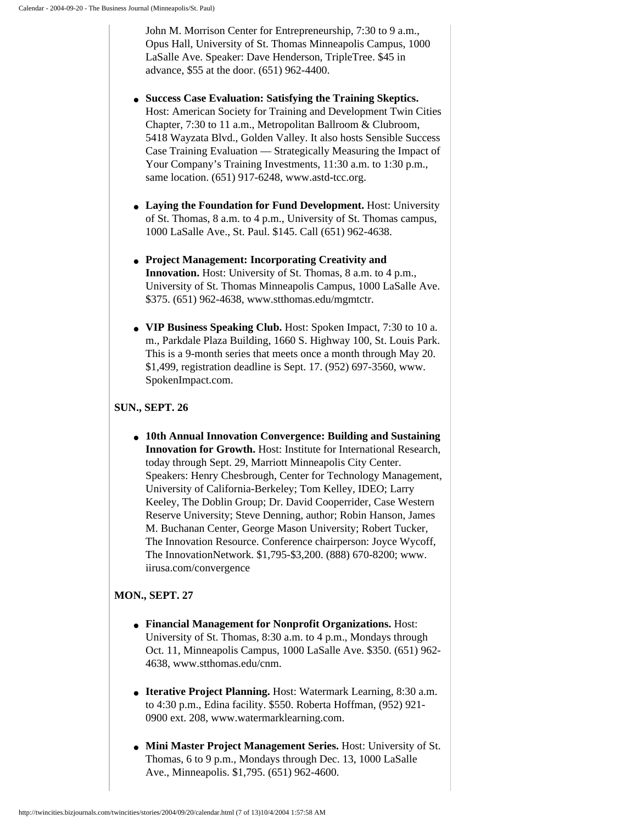John M. Morrison Center for Entrepreneurship, 7:30 to 9 a.m., Opus Hall, University of St. Thomas Minneapolis Campus, 1000 LaSalle Ave. Speaker: Dave Henderson, TripleTree. \$45 in advance, \$55 at the door. (651) 962-4400.

- **Success Case Evaluation: Satisfying the Training Skeptics.** Host: American Society for Training and Development Twin Cities Chapter, 7:30 to 11 a.m., Metropolitan Ballroom & Clubroom, 5418 Wayzata Blvd., Golden Valley. It also hosts Sensible Success Case Training Evaluation — Strategically Measuring the Impact of Your Company's Training Investments, 11:30 a.m. to 1:30 p.m., same location. (651) 917-6248, www.astd-tcc.org.
- **Laying the Foundation for Fund Development.** Host: University of St. Thomas, 8 a.m. to 4 p.m., University of St. Thomas campus, 1000 LaSalle Ave., St. Paul. \$145. Call (651) 962-4638.
- **Project Management: Incorporating Creativity and Innovation.** Host: University of St. Thomas, 8 a.m. to 4 p.m., University of St. Thomas Minneapolis Campus, 1000 LaSalle Ave. \$375. (651) 962-4638, www.stthomas.edu/mgmtctr.
- **VIP Business Speaking Club.** Host: Spoken Impact, 7:30 to 10 a. m., Parkdale Plaza Building, 1660 S. Highway 100, St. Louis Park. This is a 9-month series that meets once a month through May 20. \$1,499, registration deadline is Sept. 17. (952) 697-3560, www. SpokenImpact.com.

#### **SUN., SEPT. 26**

● **10th Annual Innovation Convergence: Building and Sustaining Innovation for Growth.** Host: Institute for International Research, today through Sept. 29, Marriott Minneapolis City Center. Speakers: Henry Chesbrough, Center for Technology Management, University of California-Berkeley; Tom Kelley, IDEO; Larry Keeley, The Doblin Group; Dr. David Cooperrider, Case Western Reserve University; Steve Denning, author; Robin Hanson, James M. Buchanan Center, George Mason University; Robert Tucker, The Innovation Resource. Conference chairperson: Joyce Wycoff, The InnovationNetwork. \$1,795-\$3,200. (888) 670-8200; www. iirusa.com/convergence

## **MON., SEPT. 27**

- **Financial Management for Nonprofit Organizations.** Host: University of St. Thomas, 8:30 a.m. to 4 p.m., Mondays through Oct. 11, Minneapolis Campus, 1000 LaSalle Ave. \$350. (651) 962- 4638, www.stthomas.edu/cnm.
- **Iterative Project Planning.** Host: Watermark Learning, 8:30 a.m. to 4:30 p.m., Edina facility. \$550. Roberta Hoffman, (952) 921- 0900 ext. 208, www.watermarklearning.com.
- **Mini Master Project Management Series.** Host: University of St. Thomas, 6 to 9 p.m., Mondays through Dec. 13, 1000 LaSalle Ave., Minneapolis. \$1,795. (651) 962-4600.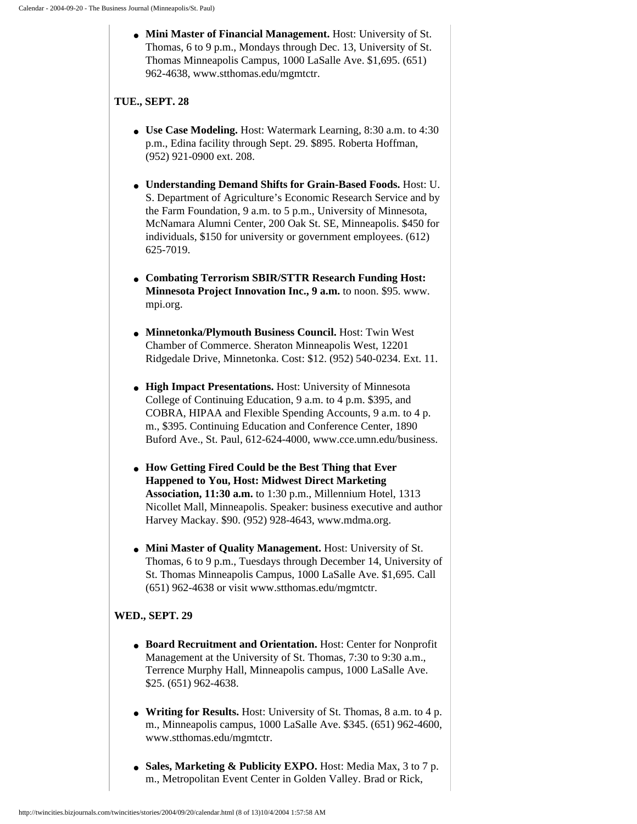● **Mini Master of Financial Management.** Host: University of St. Thomas, 6 to 9 p.m., Mondays through Dec. 13, University of St. Thomas Minneapolis Campus, 1000 LaSalle Ave. \$1,695. (651) 962-4638, www.stthomas.edu/mgmtctr.

## **TUE., SEPT. 28**

- **Use Case Modeling.** Host: Watermark Learning, 8:30 a.m. to 4:30 p.m., Edina facility through Sept. 29. \$895. Roberta Hoffman, (952) 921-0900 ext. 208.
- **Understanding Demand Shifts for Grain-Based Foods.** Host: U. S. Department of Agriculture's Economic Research Service and by the Farm Foundation, 9 a.m. to 5 p.m., University of Minnesota, McNamara Alumni Center, 200 Oak St. SE, Minneapolis. \$450 for individuals, \$150 for university or government employees. (612) 625-7019.
- **Combating Terrorism SBIR/STTR Research Funding Host: Minnesota Project Innovation Inc., 9 a.m.** to noon. \$95. www. mpi.org.
- **Minnetonka/Plymouth Business Council.** Host: Twin West Chamber of Commerce. Sheraton Minneapolis West, 12201 Ridgedale Drive, Minnetonka. Cost: \$12. (952) 540-0234. Ext. 11.
- **High Impact Presentations.** Host: University of Minnesota College of Continuing Education, 9 a.m. to 4 p.m. \$395, and COBRA, HIPAA and Flexible Spending Accounts, 9 a.m. to 4 p. m., \$395. Continuing Education and Conference Center, 1890 Buford Ave., St. Paul, 612-624-4000, www.cce.umn.edu/business.
- **How Getting Fired Could be the Best Thing that Ever Happened to You, Host: Midwest Direct Marketing Association, 11:30 a.m.** to 1:30 p.m., Millennium Hotel, 1313 Nicollet Mall, Minneapolis. Speaker: business executive and author Harvey Mackay. \$90. (952) 928-4643, www.mdma.org.
- **Mini Master of Quality Management.** Host: University of St. Thomas, 6 to 9 p.m., Tuesdays through December 14, University of St. Thomas Minneapolis Campus, 1000 LaSalle Ave. \$1,695. Call (651) 962-4638 or visit www.stthomas.edu/mgmtctr.

# **WED., SEPT. 29**

- **Board Recruitment and Orientation.** Host: Center for Nonprofit Management at the University of St. Thomas, 7:30 to 9:30 a.m., Terrence Murphy Hall, Minneapolis campus, 1000 LaSalle Ave. \$25. (651) 962-4638.
- **Writing for Results.** Host: University of St. Thomas, 8 a.m. to 4 p. m., Minneapolis campus, 1000 LaSalle Ave. \$345. (651) 962-4600, www.stthomas.edu/mgmtctr.
- **Sales, Marketing & Publicity EXPO.** Host: Media Max, 3 to 7 p. m., Metropolitan Event Center in Golden Valley. Brad or Rick,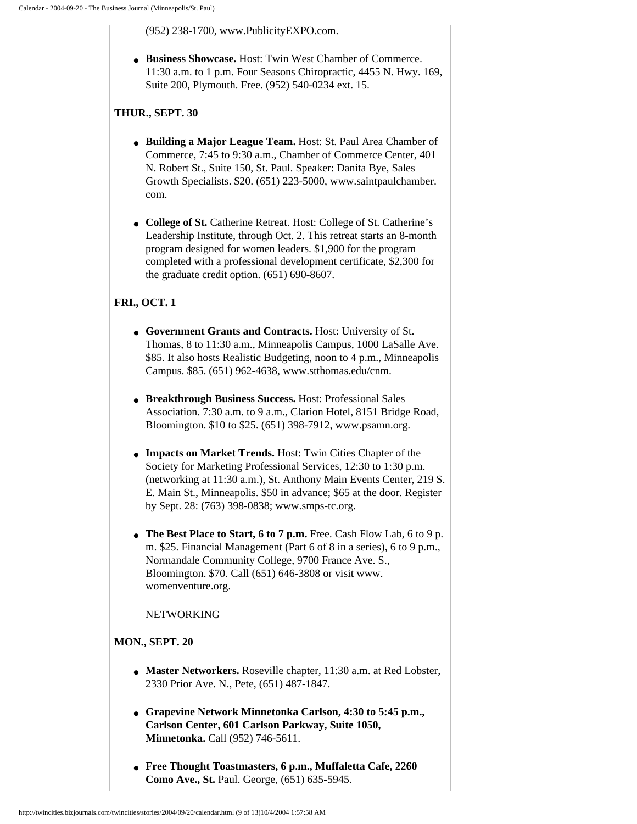(952) 238-1700, www.PublicityEXPO.com.

● **Business Showcase.** Host: Twin West Chamber of Commerce. 11:30 a.m. to 1 p.m. Four Seasons Chiropractic, 4455 N. Hwy. 169, Suite 200, Plymouth. Free. (952) 540-0234 ext. 15.

## **THUR., SEPT. 30**

- **Building a Major League Team.** Host: St. Paul Area Chamber of Commerce, 7:45 to 9:30 a.m., Chamber of Commerce Center, 401 N. Robert St., Suite 150, St. Paul. Speaker: Danita Bye, Sales Growth Specialists. \$20. (651) 223-5000, www.saintpaulchamber. com.
- **College of St.** Catherine Retreat. Host: College of St. Catherine's Leadership Institute, through Oct. 2. This retreat starts an 8-month program designed for women leaders. \$1,900 for the program completed with a professional development certificate, \$2,300 for the graduate credit option. (651) 690-8607.

# **FRI., OCT. 1**

- **Government Grants and Contracts.** Host: University of St. Thomas, 8 to 11:30 a.m., Minneapolis Campus, 1000 LaSalle Ave. \$85. It also hosts Realistic Budgeting, noon to 4 p.m., Minneapolis Campus. \$85. (651) 962-4638, www.stthomas.edu/cnm.
- **Breakthrough Business Success.** Host: Professional Sales Association. 7:30 a.m. to 9 a.m., Clarion Hotel, 8151 Bridge Road, Bloomington. \$10 to \$25. (651) 398-7912, www.psamn.org.
- **Impacts on Market Trends.** Host: Twin Cities Chapter of the Society for Marketing Professional Services, 12:30 to 1:30 p.m. (networking at 11:30 a.m.), St. Anthony Main Events Center, 219 S. E. Main St., Minneapolis. \$50 in advance; \$65 at the door. Register by Sept. 28: (763) 398-0838; www.smps-tc.org.
- **The Best Place to Start, 6 to 7 p.m.** Free. Cash Flow Lab, 6 to 9 p. m. \$25. Financial Management (Part 6 of 8 in a series), 6 to 9 p.m., Normandale Community College, 9700 France Ave. S., Bloomington. \$70. Call (651) 646-3808 or visit www. womenventure.org.

## NETWORKING

## **MON., SEPT. 20**

- **Master Networkers.** Roseville chapter, 11:30 a.m. at Red Lobster, 2330 Prior Ave. N., Pete, (651) 487-1847.
- **Grapevine Network Minnetonka Carlson, 4:30 to 5:45 p.m., Carlson Center, 601 Carlson Parkway, Suite 1050, Minnetonka.** Call (952) 746-5611.
- **Free Thought Toastmasters, 6 p.m., Muffaletta Cafe, 2260 Como Ave., St.** Paul. George, (651) 635-5945.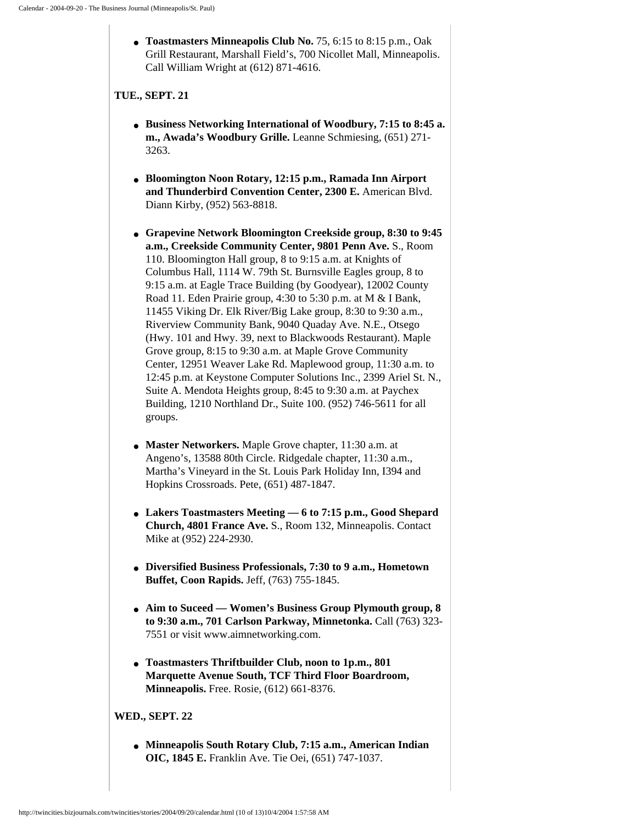● **Toastmasters Minneapolis Club No.** 75, 6:15 to 8:15 p.m., Oak Grill Restaurant, Marshall Field's, 700 Nicollet Mall, Minneapolis. Call William Wright at (612) 871-4616.

#### **TUE., SEPT. 21**

- **Business Networking International of Woodbury, 7:15 to 8:45 a. m., Awada's Woodbury Grille.** Leanne Schmiesing, (651) 271- 3263.
- **Bloomington Noon Rotary, 12:15 p.m., Ramada Inn Airport and Thunderbird Convention Center, 2300 E.** American Blvd. Diann Kirby, (952) 563-8818.
- **Grapevine Network Bloomington Creekside group, 8:30 to 9:45 a.m., Creekside Community Center, 9801 Penn Ave.** S., Room 110. Bloomington Hall group, 8 to 9:15 a.m. at Knights of Columbus Hall, 1114 W. 79th St. Burnsville Eagles group, 8 to 9:15 a.m. at Eagle Trace Building (by Goodyear), 12002 County Road 11. Eden Prairie group, 4:30 to 5:30 p.m. at M & I Bank, 11455 Viking Dr. Elk River/Big Lake group, 8:30 to 9:30 a.m., Riverview Community Bank, 9040 Quaday Ave. N.E., Otsego (Hwy. 101 and Hwy. 39, next to Blackwoods Restaurant). Maple Grove group, 8:15 to 9:30 a.m. at Maple Grove Community Center, 12951 Weaver Lake Rd. Maplewood group, 11:30 a.m. to 12:45 p.m. at Keystone Computer Solutions Inc., 2399 Ariel St. N., Suite A. Mendota Heights group, 8:45 to 9:30 a.m. at Paychex Building, 1210 Northland Dr., Suite 100. (952) 746-5611 for all groups.
- **Master Networkers.** Maple Grove chapter, 11:30 a.m. at Angeno's, 13588 80th Circle. Ridgedale chapter, 11:30 a.m., Martha's Vineyard in the St. Louis Park Holiday Inn, I394 and Hopkins Crossroads. Pete, (651) 487-1847.
- **Lakers Toastmasters Meeting 6 to 7:15 p.m., Good Shepard Church, 4801 France Ave.** S., Room 132, Minneapolis. Contact Mike at (952) 224-2930.
- **Diversified Business Professionals, 7:30 to 9 a.m., Hometown Buffet, Coon Rapids.** Jeff, (763) 755-1845.
- **Aim to Suceed Women's Business Group Plymouth group, 8 to 9:30 a.m., 701 Carlson Parkway, Minnetonka.** Call (763) 323- 7551 or visit www.aimnetworking.com.
- **Toastmasters Thriftbuilder Club, noon to 1p.m., 801 Marquette Avenue South, TCF Third Floor Boardroom, Minneapolis.** Free. Rosie, (612) 661-8376.

## **WED., SEPT. 22**

● **Minneapolis South Rotary Club, 7:15 a.m., American Indian OIC, 1845 E.** Franklin Ave. Tie Oei, (651) 747-1037.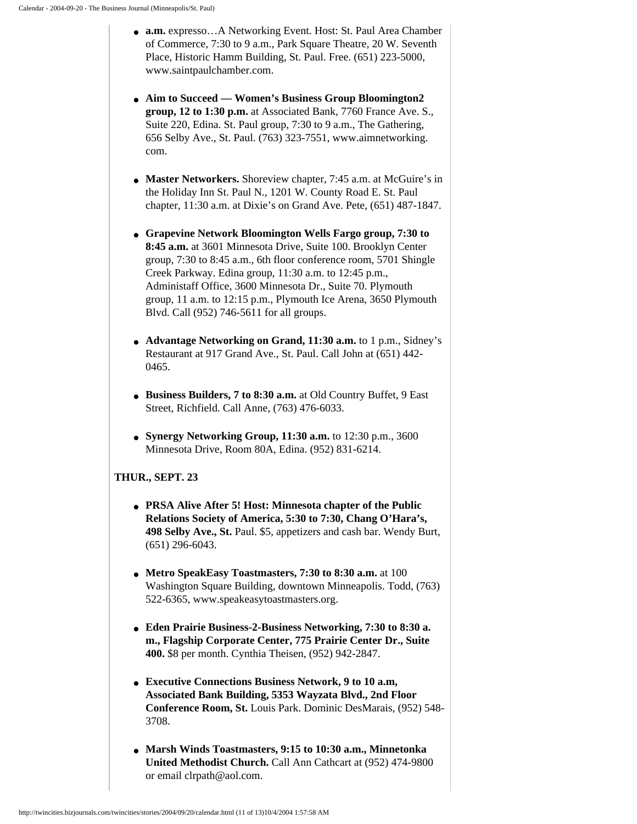- **a.m.** expresso…A Networking Event. Host: St. Paul Area Chamber of Commerce, 7:30 to 9 a.m., Park Square Theatre, 20 W. Seventh Place, Historic Hamm Building, St. Paul. Free. (651) 223-5000, www.saintpaulchamber.com.
- **Aim to Succeed Women's Business Group Bloomington2 group, 12 to 1:30 p.m.** at Associated Bank, 7760 France Ave. S., Suite 220, Edina. St. Paul group, 7:30 to 9 a.m., The Gathering, 656 Selby Ave., St. Paul. (763) 323-7551, www.aimnetworking. com.
- Master Networkers. Shoreview chapter, 7:45 a.m. at McGuire's in the Holiday Inn St. Paul N., 1201 W. County Road E. St. Paul chapter, 11:30 a.m. at Dixie's on Grand Ave. Pete, (651) 487-1847.
- **Grapevine Network Bloomington Wells Fargo group, 7:30 to 8:45 a.m.** at 3601 Minnesota Drive, Suite 100. Brooklyn Center group, 7:30 to 8:45 a.m., 6th floor conference room, 5701 Shingle Creek Parkway. Edina group, 11:30 a.m. to 12:45 p.m., Administaff Office, 3600 Minnesota Dr., Suite 70. Plymouth group, 11 a.m. to 12:15 p.m., Plymouth Ice Arena, 3650 Plymouth Blvd. Call (952) 746-5611 for all groups.
- **Advantage Networking on Grand, 11:30 a.m.** to 1 p.m., Sidney's Restaurant at 917 Grand Ave., St. Paul. Call John at (651) 442- 0465.
- **Business Builders, 7 to 8:30 a.m.** at Old Country Buffet, 9 East Street, Richfield. Call Anne, (763) 476-6033.
- **Synergy Networking Group, 11:30 a.m.** to 12:30 p.m., 3600 Minnesota Drive, Room 80A, Edina. (952) 831-6214.

## **THUR., SEPT. 23**

- **PRSA Alive After 5! Host: Minnesota chapter of the Public Relations Society of America, 5:30 to 7:30, Chang O'Hara's, 498 Selby Ave., St.** Paul. \$5, appetizers and cash bar. Wendy Burt, (651) 296-6043.
- **Metro SpeakEasy Toastmasters, 7:30 to 8:30 a.m.** at 100 Washington Square Building, downtown Minneapolis. Todd, (763) 522-6365, www.speakeasytoastmasters.org.
- **Eden Prairie Business-2-Business Networking, 7:30 to 8:30 a. m., Flagship Corporate Center, 775 Prairie Center Dr., Suite 400.** \$8 per month. Cynthia Theisen, (952) 942-2847.
- **Executive Connections Business Network, 9 to 10 a.m, Associated Bank Building, 5353 Wayzata Blvd., 2nd Floor Conference Room, St.** Louis Park. Dominic DesMarais, (952) 548- 3708.
- **Marsh Winds Toastmasters, 9:15 to 10:30 a.m., Minnetonka United Methodist Church.** Call Ann Cathcart at (952) 474-9800 or email clrpath@aol.com.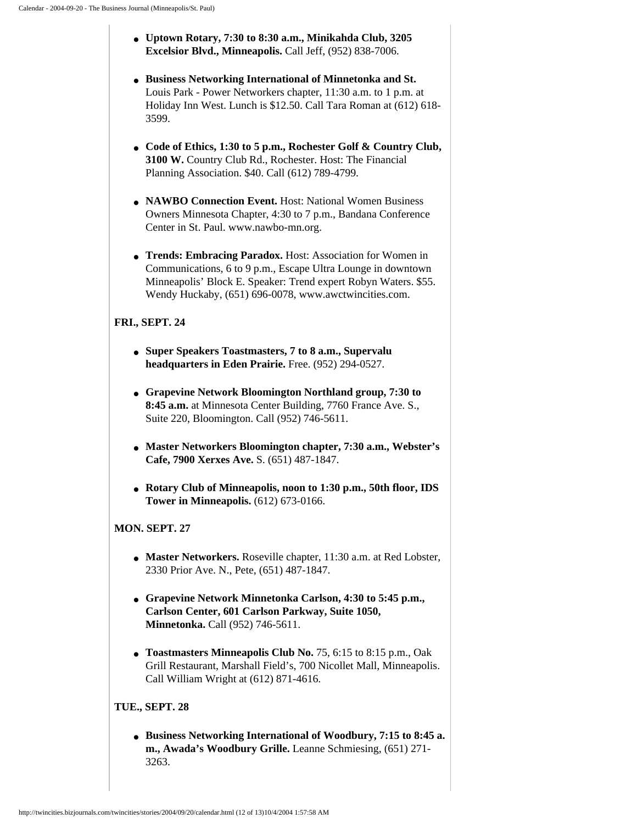- **Uptown Rotary, 7:30 to 8:30 a.m., Minikahda Club, 3205 Excelsior Blvd., Minneapolis.** Call Jeff, (952) 838-7006.
- **Business Networking International of Minnetonka and St.** Louis Park - Power Networkers chapter, 11:30 a.m. to 1 p.m. at Holiday Inn West. Lunch is \$12.50. Call Tara Roman at (612) 618- 3599.
- **Code of Ethics, 1:30 to 5 p.m., Rochester Golf & Country Club, 3100 W.** Country Club Rd., Rochester. Host: The Financial Planning Association. \$40. Call (612) 789-4799.
- **NAWBO Connection Event.** Host: National Women Business Owners Minnesota Chapter, 4:30 to 7 p.m., Bandana Conference Center in St. Paul. www.nawbo-mn.org.
- **Trends: Embracing Paradox.** Host: Association for Women in Communications, 6 to 9 p.m., Escape Ultra Lounge in downtown Minneapolis' Block E. Speaker: Trend expert Robyn Waters. \$55. Wendy Huckaby, (651) 696-0078, www.awctwincities.com.

# **FRI., SEPT. 24**

- **Super Speakers Toastmasters, 7 to 8 a.m., Supervalu headquarters in Eden Prairie.** Free. (952) 294-0527.
- **Grapevine Network Bloomington Northland group, 7:30 to 8:45 a.m.** at Minnesota Center Building, 7760 France Ave. S., Suite 220, Bloomington. Call (952) 746-5611.
- **Master Networkers Bloomington chapter, 7:30 a.m., Webster's Cafe, 7900 Xerxes Ave.** S. (651) 487-1847.
- **Rotary Club of Minneapolis, noon to 1:30 p.m., 50th floor, IDS Tower in Minneapolis.** (612) 673-0166.

# **MON. SEPT. 27**

- Master Networkers. Roseville chapter, 11:30 a.m. at Red Lobster, 2330 Prior Ave. N., Pete, (651) 487-1847.
- **Grapevine Network Minnetonka Carlson, 4:30 to 5:45 p.m., Carlson Center, 601 Carlson Parkway, Suite 1050, Minnetonka.** Call (952) 746-5611.
- **Toastmasters Minneapolis Club No.** 75, 6:15 to 8:15 p.m., Oak Grill Restaurant, Marshall Field's, 700 Nicollet Mall, Minneapolis. Call William Wright at (612) 871-4616.

# **TUE., SEPT. 28**

● **Business Networking International of Woodbury, 7:15 to 8:45 a. m., Awada's Woodbury Grille.** Leanne Schmiesing, (651) 271- 3263.